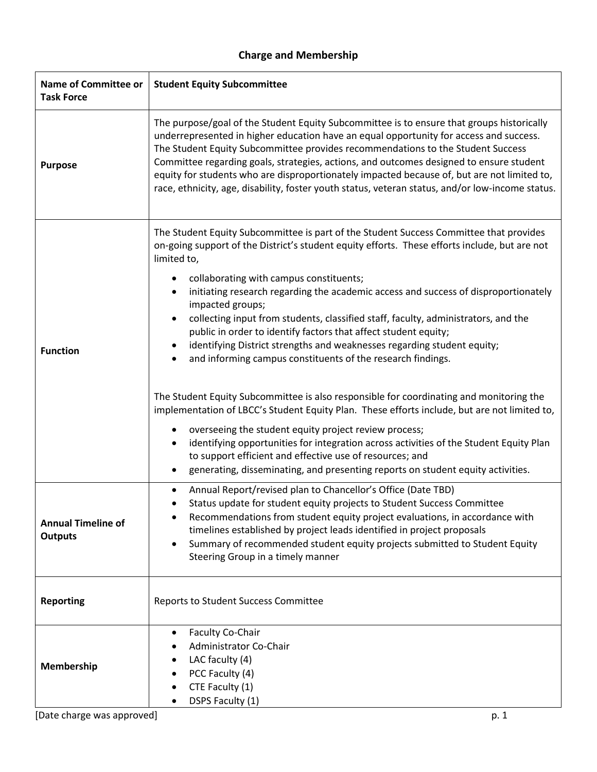## **Charge and Membership**

| <b>Name of Committee or</b><br><b>Task Force</b> | <b>Student Equity Subcommittee</b>                                                                                                                                                                                                                                                                                                                                                                                                                                                                                                                                                                                                                                                                                                                                                                                                                                                                                                                                                                                                                                                                                                                           |
|--------------------------------------------------|--------------------------------------------------------------------------------------------------------------------------------------------------------------------------------------------------------------------------------------------------------------------------------------------------------------------------------------------------------------------------------------------------------------------------------------------------------------------------------------------------------------------------------------------------------------------------------------------------------------------------------------------------------------------------------------------------------------------------------------------------------------------------------------------------------------------------------------------------------------------------------------------------------------------------------------------------------------------------------------------------------------------------------------------------------------------------------------------------------------------------------------------------------------|
| <b>Purpose</b>                                   | The purpose/goal of the Student Equity Subcommittee is to ensure that groups historically<br>underrepresented in higher education have an equal opportunity for access and success.<br>The Student Equity Subcommittee provides recommendations to the Student Success<br>Committee regarding goals, strategies, actions, and outcomes designed to ensure student<br>equity for students who are disproportionately impacted because of, but are not limited to,<br>race, ethnicity, age, disability, foster youth status, veteran status, and/or low-income status.                                                                                                                                                                                                                                                                                                                                                                                                                                                                                                                                                                                         |
| <b>Function</b>                                  | The Student Equity Subcommittee is part of the Student Success Committee that provides<br>on-going support of the District's student equity efforts. These efforts include, but are not<br>limited to,<br>collaborating with campus constituents;<br>initiating research regarding the academic access and success of disproportionately<br>impacted groups;<br>collecting input from students, classified staff, faculty, administrators, and the<br>public in order to identify factors that affect student equity;<br>identifying District strengths and weaknesses regarding student equity;<br>and informing campus constituents of the research findings.<br>The Student Equity Subcommittee is also responsible for coordinating and monitoring the<br>implementation of LBCC's Student Equity Plan. These efforts include, but are not limited to,<br>overseeing the student equity project review process;<br>identifying opportunities for integration across activities of the Student Equity Plan<br>to support efficient and effective use of resources; and<br>generating, disseminating, and presenting reports on student equity activities. |
| <b>Annual Timeline of</b><br><b>Outputs</b>      | Annual Report/revised plan to Chancellor's Office (Date TBD)<br>Status update for student equity projects to Student Success Committee<br>Recommendations from student equity project evaluations, in accordance with<br>timelines established by project leads identified in project proposals<br>Summary of recommended student equity projects submitted to Student Equity<br>Steering Group in a timely manner                                                                                                                                                                                                                                                                                                                                                                                                                                                                                                                                                                                                                                                                                                                                           |
| <b>Reporting</b>                                 | Reports to Student Success Committee                                                                                                                                                                                                                                                                                                                                                                                                                                                                                                                                                                                                                                                                                                                                                                                                                                                                                                                                                                                                                                                                                                                         |
| Membership                                       | <b>Faculty Co-Chair</b><br>٠<br>Administrator Co-Chair<br>LAC faculty (4)<br>PCC Faculty (4)<br>CTE Faculty (1)<br>DSPS Faculty (1)                                                                                                                                                                                                                                                                                                                                                                                                                                                                                                                                                                                                                                                                                                                                                                                                                                                                                                                                                                                                                          |
| [Date charge was approved]                       | p. 1                                                                                                                                                                                                                                                                                                                                                                                                                                                                                                                                                                                                                                                                                                                                                                                                                                                                                                                                                                                                                                                                                                                                                         |